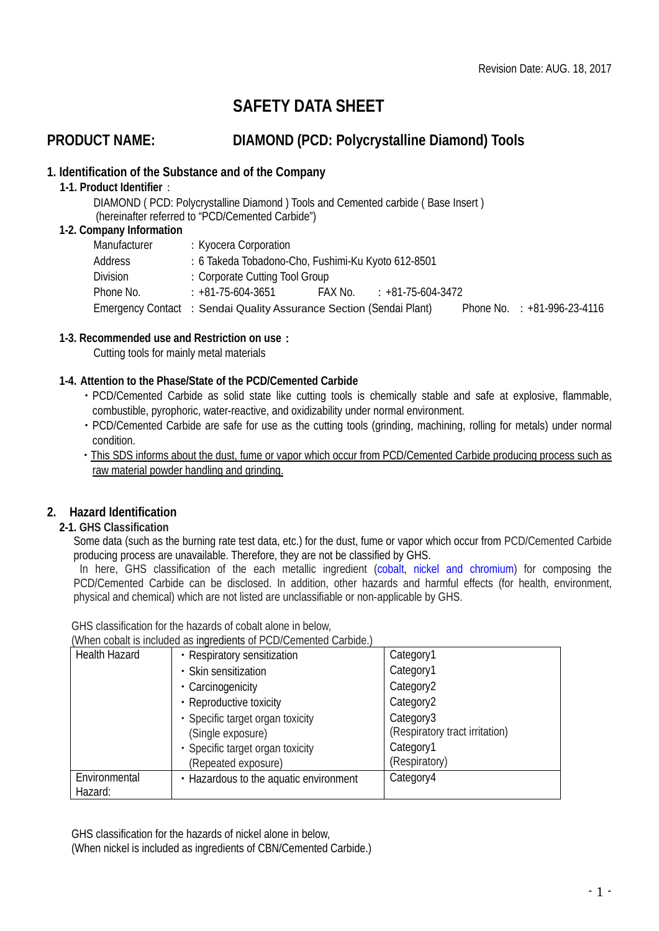# **SAFETY DATA SHEET**

## **PRODUCT NAME: DIAMOND (PCD: Polycrystalline Diamond) Tools**

## **1. Identification of the Substance and of the Company**

**1-1. Product Identifier**:

 DIAMOND ( PCD: Polycrystalline Diamond ) Tools and Cemented carbide ( Base Insert ) (hereinafter referred to "PCD/Cemented Carbide")

## **1-2. Company Information**

| Manufacturer | : Kyocera Corporation                                               |                             |                               |
|--------------|---------------------------------------------------------------------|-----------------------------|-------------------------------|
| Address      | : 6 Takeda Tobadono-Cho, Fushimi-Ku Kyoto 612-8501                  |                             |                               |
| Division     | : Corporate Cutting Tool Group                                      |                             |                               |
| Phone No.    | : +81-75-604-3651                                                   | $FAX$ No. $+81-75-604-3472$ |                               |
|              | Emergency Contact : Sendai Quality Assurance Section (Sendai Plant) |                             | Phone No. $: +81-996-23-4116$ |

## **1-3. Recommended use and Restriction on use**:

Cutting tools for mainly metal materials

## **1-4. Attention to the Phase/State of the PCD/Cemented Carbide**

- ・PCD/Cemented Carbide as solid state like cutting tools is chemically stable and safe at explosive, flammable, combustible, pyrophoric, water-reactive, and oxidizability under normal environment.
- ・PCD/Cemented Carbide are safe for use as the cutting tools (grinding, machining, rolling for metals) under normal condition.
- ・This SDS informs about the dust, fume or vapor which occur from PCD/Cemented Carbide producing process such as raw material powder handling and grinding.

## **2. Hazard Identification**

## **2-1. GHS Classification**

Some data (such as the burning rate test data, etc.) for the dust, fume or vapor which occur from PCD/Cemented Carbide producing process are unavailable. Therefore, they are not be classified by GHS.

In here, GHS classification of the each metallic ingredient (cobalt, nickel and chromium) for composing the PCD/Cemented Carbide can be disclosed. In addition, other hazards and harmful effects (for health, environment, physical and chemical) which are not listed are unclassifiable or non-applicable by GHS.

GHS classification for the hazards of cobalt alone in below,

| (When cobalt is included as ingredients of PCD/Cemented Carbide.) |  |
|-------------------------------------------------------------------|--|
|-------------------------------------------------------------------|--|

| <b>Health Hazard</b> | • Respiratory sensitization            | Category1                      |
|----------------------|----------------------------------------|--------------------------------|
|                      | · Skin sensitization                   | Category1                      |
|                      | • Carcinogenicity                      | Category <sub>2</sub>          |
|                      | • Reproductive toxicity                | Category2                      |
|                      | • Specific target organ toxicity       | Category3                      |
|                      | (Single exposure)                      | (Respiratory tract irritation) |
|                      | • Specific target organ toxicity       | Category1                      |
|                      | (Repeated exposure)                    | (Respiratory)                  |
| Environmental        | • Hazardous to the aquatic environment | Category4                      |
| Hazard:              |                                        |                                |

GHS classification for the hazards of nickel alone in below,

(When nickel is included as ingredients of CBN/Cemented Carbide.)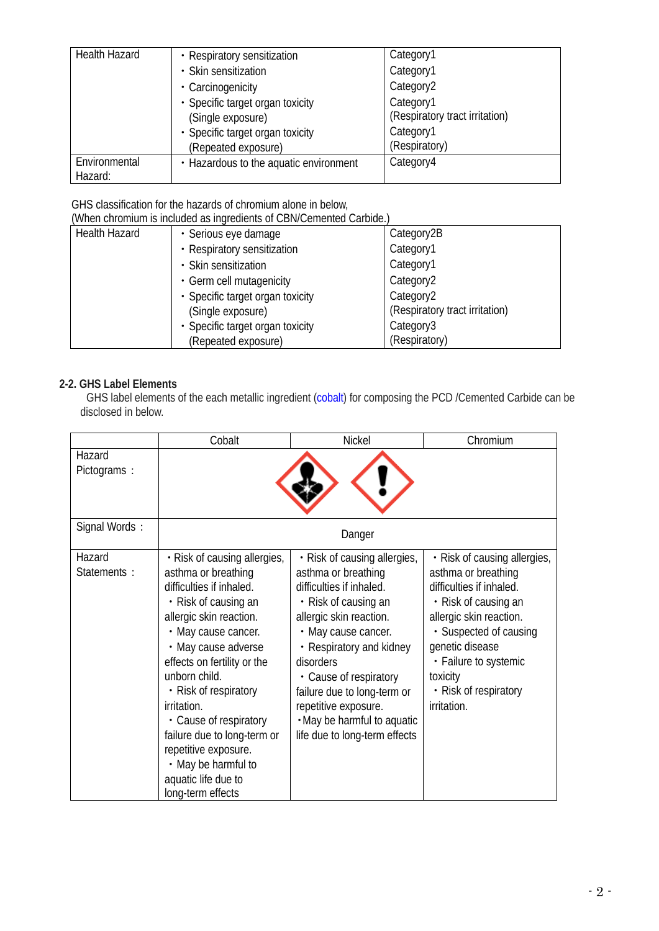| <b>Health Hazard</b> | • Respiratory sensitization            | Category1                      |
|----------------------|----------------------------------------|--------------------------------|
|                      | • Skin sensitization                   | Category1                      |
|                      | • Carcinogenicity                      | Category2                      |
|                      | · Specific target organ toxicity       | Category1                      |
|                      | (Single exposure)                      | (Respiratory tract irritation) |
|                      | · Specific target organ toxicity       | Category1                      |
|                      | (Repeated exposure)                    | (Respiratory)                  |
| Environmental        | • Hazardous to the aquatic environment | Category4                      |
| Hazard:              |                                        |                                |

GHS classification for the hazards of chromium alone in below,

(When chromium is included as ingredients of CBN/Cemented Carbide.)

| <u>THE CHIP CHIP CONTRACTED IN CHIP CONTRACTED OF CONTRACTION CONDITIONS.</u> |                                  |                                |  |  |
|-------------------------------------------------------------------------------|----------------------------------|--------------------------------|--|--|
| <b>Health Hazard</b>                                                          | · Serious eye damage             | Category2B                     |  |  |
|                                                                               | • Respiratory sensitization      | Category1                      |  |  |
|                                                                               | • Skin sensitization             | Category1                      |  |  |
|                                                                               | • Germ cell mutagenicity         | Category <sub>2</sub>          |  |  |
|                                                                               | • Specific target organ toxicity | Category <sub>2</sub>          |  |  |
|                                                                               | (Single exposure)                | (Respiratory tract irritation) |  |  |
|                                                                               | • Specific target organ toxicity | Category3                      |  |  |
|                                                                               | (Repeated exposure)              | (Respiratory)                  |  |  |

## **2-2. GHS Label Elements**

GHS label elements of the each metallic ingredient (cobalt) for composing the PCD /Cemented Carbide can be disclosed in below.

|                       | Cobalt                                                                                                                                                                                                                                                                                                                                                                                                                       | <b>Nickel</b>                                                                                                                                                                                                                                                                                                                                       | Chromium                                                                                                                                                                                                                                                     |
|-----------------------|------------------------------------------------------------------------------------------------------------------------------------------------------------------------------------------------------------------------------------------------------------------------------------------------------------------------------------------------------------------------------------------------------------------------------|-----------------------------------------------------------------------------------------------------------------------------------------------------------------------------------------------------------------------------------------------------------------------------------------------------------------------------------------------------|--------------------------------------------------------------------------------------------------------------------------------------------------------------------------------------------------------------------------------------------------------------|
| Hazard<br>Pictograms: |                                                                                                                                                                                                                                                                                                                                                                                                                              |                                                                                                                                                                                                                                                                                                                                                     |                                                                                                                                                                                                                                                              |
| Signal Words:         |                                                                                                                                                                                                                                                                                                                                                                                                                              | Danger                                                                                                                                                                                                                                                                                                                                              |                                                                                                                                                                                                                                                              |
| Hazard<br>Statements: | • Risk of causing allergies,<br>asthma or breathing<br>difficulties if inhaled.<br>• Risk of causing an<br>allergic skin reaction.<br>• May cause cancer.<br>• May cause adverse<br>effects on fertility or the<br>unborn child.<br>• Risk of respiratory<br>irritation.<br>• Cause of respiratory<br>failure due to long-term or<br>repetitive exposure.<br>• May be harmful to<br>aquatic life due to<br>long-term effects | • Risk of causing allergies,<br>asthma or breathing<br>difficulties if inhaled.<br>• Risk of causing an<br>allergic skin reaction.<br>• May cause cancer.<br>• Respiratory and kidney<br>disorders<br>• Cause of respiratory<br>failure due to long-term or<br>repetitive exposure.<br>. May be harmful to aquatic<br>life due to long-term effects | • Risk of causing allergies,<br>asthma or breathing<br>difficulties if inhaled.<br>• Risk of causing an<br>allergic skin reaction.<br>• Suspected of causing<br>genetic disease<br>• Failure to systemic<br>toxicity<br>• Risk of respiratory<br>irritation. |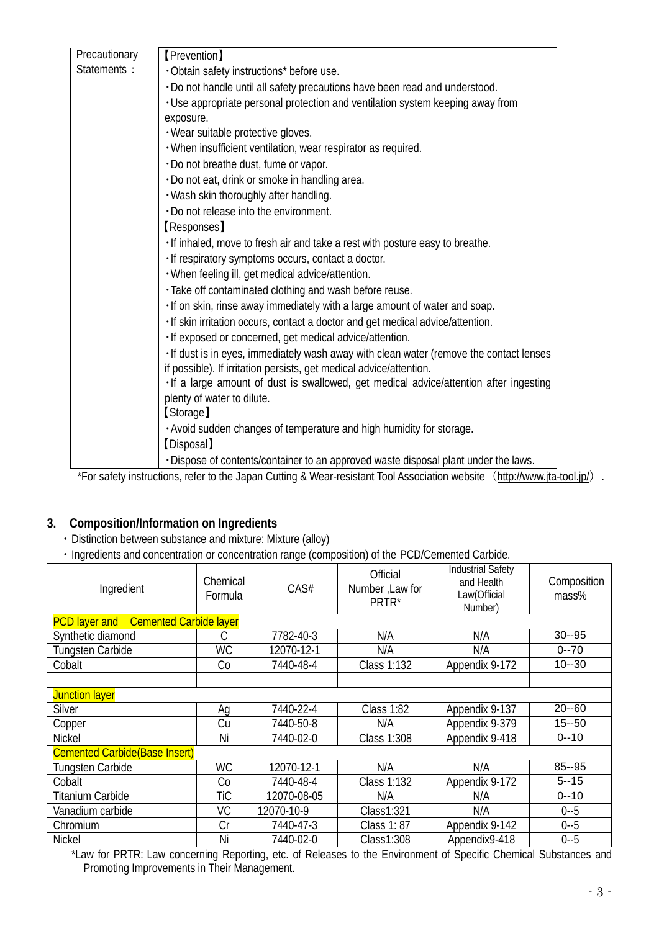| Precautionary | [Prevention]                                                                                                                                                                                                                       |
|---------------|------------------------------------------------------------------------------------------------------------------------------------------------------------------------------------------------------------------------------------|
| Statements:   | · Obtain safety instructions* before use.                                                                                                                                                                                          |
|               | . Do not handle until all safety precautions have been read and understood.                                                                                                                                                        |
|               | . Use appropriate personal protection and ventilation system keeping away from                                                                                                                                                     |
|               | exposure.                                                                                                                                                                                                                          |
|               | · Wear suitable protective gloves.                                                                                                                                                                                                 |
|               | · When insufficient ventilation, wear respirator as required.                                                                                                                                                                      |
|               | · Do not breathe dust, fume or vapor.                                                                                                                                                                                              |
|               | · Do not eat, drink or smoke in handling area.                                                                                                                                                                                     |
|               | . Wash skin thoroughly after handling.                                                                                                                                                                                             |
|               | . Do not release into the environment.                                                                                                                                                                                             |
|               | <b>Responses</b> ]                                                                                                                                                                                                                 |
|               | . If inhaled, move to fresh air and take a rest with posture easy to breathe.                                                                                                                                                      |
|               | · If respiratory symptoms occurs, contact a doctor.                                                                                                                                                                                |
|               | . When feeling ill, get medical advice/attention.                                                                                                                                                                                  |
|               | · Take off contaminated clothing and wash before reuse.                                                                                                                                                                            |
|               | . If on skin, rinse away immediately with a large amount of water and soap.                                                                                                                                                        |
|               | · If skin irritation occurs, contact a doctor and get medical advice/attention.                                                                                                                                                    |
|               | · If exposed or concerned, get medical advice/attention.                                                                                                                                                                           |
|               | . If dust is in eyes, immediately wash away with clean water (remove the contact lenses                                                                                                                                            |
|               | if possible). If irritation persists, get medical advice/attention.                                                                                                                                                                |
|               | . If a large amount of dust is swallowed, get medical advice/attention after ingesting                                                                                                                                             |
|               | plenty of water to dilute.                                                                                                                                                                                                         |
|               | [Storage]                                                                                                                                                                                                                          |
|               | . Avoid sudden changes of temperature and high humidity for storage.                                                                                                                                                               |
|               | [Disposal]                                                                                                                                                                                                                         |
|               | · Dispose of contents/container to an approved waste disposal plant under the laws.<br>$\sim$ $\frac{1}{2}$ $\sim$ $\frac{1}{2}$ $\sim$ $\frac{1}{2}$ $\sim$ $\sim$ $\frac{1}{2}$ $\sim$ $\sim$ $\sim$ $\sim$ $\sim$ $\sim$ $\sim$ |

\*For safety instructions, refer to the Japan Cutting & Wear-resistant Tool Association website (<http://www.jta-tool.jp/>).

## **3. Composition/Information on Ingredients**

- ・Distinction between substance and mixture: Mixture (alloy)
- ・Ingredients and concentration or concentration range (composition) of the PCD/Cemented Carbide.

| Ingredient                                            | Chemical<br>Formula | CAS#        | Official<br>Number, Law for<br>PRTR* | <b>Industrial Safety</b><br>and Health<br>Law(Official<br>Number) | Composition<br>mass% |
|-------------------------------------------------------|---------------------|-------------|--------------------------------------|-------------------------------------------------------------------|----------------------|
| <b>Cemented Carbide layer</b><br><b>PCD</b> layer and |                     |             |                                      |                                                                   |                      |
| Synthetic diamond                                     | C                   | 7782-40-3   | N/A                                  | N/A                                                               | $30 - 95$            |
| <b>Tungsten Carbide</b>                               | <b>WC</b>           | 12070-12-1  | N/A                                  | N/A                                                               | $0 - 70$             |
| Cobalt                                                | Co                  | 7440-48-4   | Class 1:132                          | Appendix 9-172                                                    | $10 - 30$            |
|                                                       |                     |             |                                      |                                                                   |                      |
| <b>Junction layer</b>                                 |                     |             |                                      |                                                                   |                      |
| <b>Silver</b>                                         | Ag                  | 7440-22-4   | Class 1:82                           | Appendix 9-137                                                    | $20 - 60$            |
| Copper                                                | Cu                  | 7440-50-8   | N/A                                  | Appendix 9-379                                                    | $15 - 50$            |
| <b>Nickel</b>                                         | Ni                  | 7440-02-0   | Class 1:308                          | Appendix 9-418                                                    | $0 - 10$             |
| <b>Cemented Carbide (Base Insert)</b>                 |                     |             |                                      |                                                                   |                      |
| <b>Tungsten Carbide</b>                               | <b>WC</b>           | 12070-12-1  | N/A                                  | N/A                                                               | 85--95               |
| Cobalt                                                | Co                  | 7440-48-4   | <b>Class 1:132</b>                   | Appendix 9-172                                                    | $5 - 15$             |
| <b>Titanium Carbide</b>                               | TiC                 | 12070-08-05 | N/A                                  | N/A                                                               | $0 - 10$             |
| Vanadium carbide                                      | VC                  | 12070-10-9  | Class1:321                           | N/A                                                               | $0 - 5$              |
| Chromium                                              | Cr                  | 7440-47-3   | Class 1:87                           | Appendix 9-142                                                    | $0 - 5$              |
| <b>Nickel</b>                                         | Ni                  | 7440-02-0   | Class1:308                           | Appendix9-418                                                     | $0 - 5$              |

\*Law for PRTR: Law concerning Reporting, etc. of Releases to the Environment of Specific Chemical Substances and Promoting Improvements in Their Management.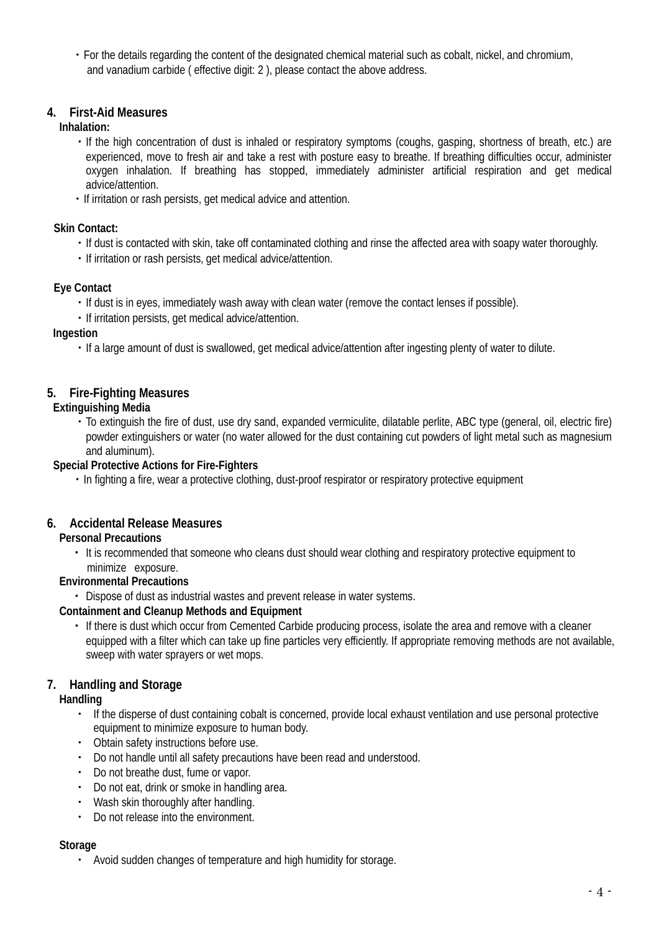・For the details regarding the content of the designated chemical material such as cobalt, nickel, and chromium, and vanadium carbide ( effective digit: 2 ), please contact the above address.

## **4. First-Aid Measures**

## **Inhalation:**

- ・If the high concentration of dust is inhaled or respiratory symptoms (coughs, gasping, shortness of breath, etc.) are experienced, move to fresh air and take a rest with posture easy to breathe. If breathing difficulties occur, administer oxygen inhalation. If breathing has stopped, immediately administer artificial respiration and get medical advice/attention.
- ・If irritation or rash persists, get medical advice and attention.

## **Skin Contact:**

- ・If dust is contacted with skin, take off contaminated clothing and rinse the affected area with soapy water thoroughly.
- ・If irritation or rash persists, get medical advice/attention.

## **Eye Contact**

- ・If dust is in eyes, immediately wash away with clean water (remove the contact lenses if possible).
- ・If irritation persists, get medical advice/attention.

## **Ingestion**

・If a large amount of dust is swallowed, get medical advice/attention after ingesting plenty of water to dilute.

## **5. Fire-Fighting Measures**

## **Extinguishing Media**

・To extinguish the fire of dust, use dry sand, expanded vermiculite, dilatable perlite, ABC type (general, oil, electric fire) powder extinguishers or water (no water allowed for the dust containing cut powders of light metal such as magnesium and aluminum).

## **Special Protective Actions for Fire-Fighters**

・In fighting a fire, wear a protective clothing, dust-proof respirator or respiratory protective equipment

## **6. Accidental Release Measures**

## **Personal Precautions**

・ It is recommended that someone who cleans dust should wear clothing and respiratory protective equipment to minimize exposure.

## **Environmental Precautions**

・ Dispose of dust as industrial wastes and prevent release in water systems.

## **Containment and Cleanup Methods and Equipment**

・ If there is dust which occur from Cemented Carbide producing process, isolate the area and remove with a cleaner equipped with a filter which can take up fine particles very efficiently. If appropriate removing methods are not available, sweep with water sprayers or wet mops.

## **7. Handling and Storage**

## **Handling**

- ・ If the disperse of dust containing cobalt is concerned, provide local exhaust ventilation and use personal protective equipment to minimize exposure to human body.
- ・ Obtain safety instructions before use.
- ・ Do not handle until all safety precautions have been read and understood.
- ・ Do not breathe dust, fume or vapor.
- ・ Do not eat, drink or smoke in handling area.
- ・ Wash skin thoroughly after handling.
- ・ Do not release into the environment.

## **Storage**

・ Avoid sudden changes of temperature and high humidity for storage.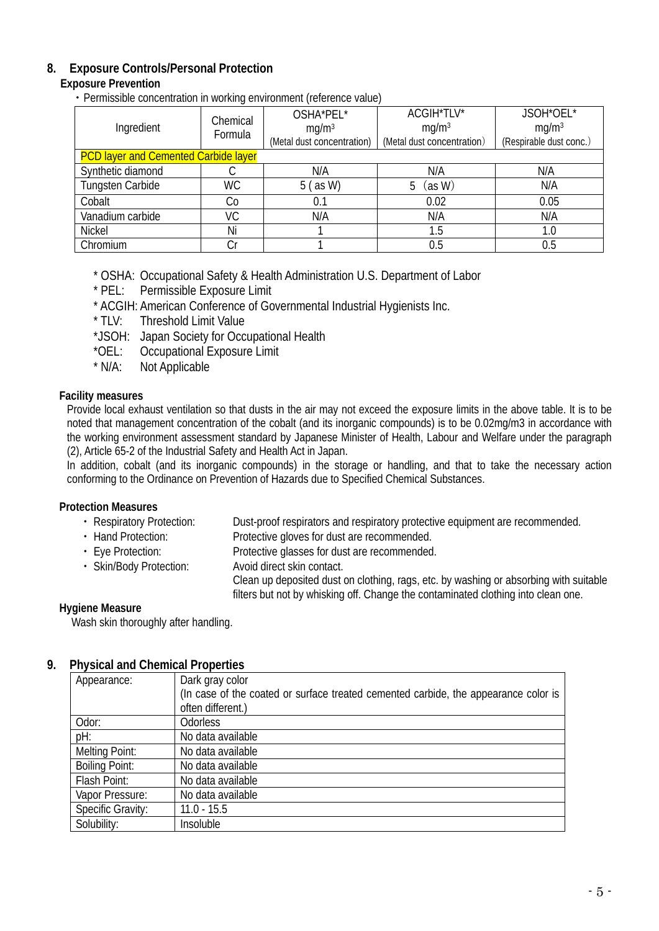## **8. Exposure Controls/Personal Protection**

## **Exposure Prevention**

・Permissible concentration in working environment (reference value)

|                                             | Chemical<br>Formula | OSHA*PEL*                  | ACGIH*TLV*                 | JSOH*OEL*               |
|---------------------------------------------|---------------------|----------------------------|----------------------------|-------------------------|
| Ingredient                                  |                     | mq/m <sup>3</sup>          | mq/m <sup>3</sup>          | mq/m <sup>3</sup>       |
|                                             |                     | (Metal dust concentration) | (Metal dust concentration) | (Respirable dust conc.) |
| <b>PCD layer and Cemented Carbide layer</b> |                     |                            |                            |                         |
| Synthetic diamond                           |                     | N/A                        | N/A                        | N/A                     |
| Tungsten Carbide                            | <b>WC</b>           | $5$ (as W)                 | (as W)<br>5                | N/A                     |
| Cobalt                                      | Co                  | 0.1                        | 0.02                       | 0.05                    |
| Vanadium carbide                            | VC                  | N/A                        | N/A                        | N/A                     |
| Nickel                                      | Ni                  |                            | 1.5                        | 1.0                     |
| Chromium                                    | Cr                  |                            | 0.5                        | 0.5                     |

\* OSHA: Occupational Safety & Health Administration U.S. Department of Labor<br>\* PEL: Permissible Exposure Limit

- Permissible Exposure Limit
- \* ACGIH: American Conference of Governmental Industrial Hygienists Inc.
- Threshold Limit Value
- \*JSOH: Japan Society for Occupational Health
- \*OEL: Occupational Exposure Limit<br>\* N/A: Not Applicable
- Not Applicable

## **Facility measures**

Provide local exhaust ventilation so that dusts in the air may not exceed the exposure limits in the above table. It is to be noted that management concentration of the cobalt (and its inorganic compounds) is to be 0.02mg/m3 in accordance with the working environment assessment standard by Japanese Minister of Health, Labour and Welfare under the paragraph (2), Article 65-2 of the Industrial Safety and Health Act in Japan.

In addition, cobalt (and its inorganic compounds) in the storage or handling, and that to take the necessary action conforming to the Ordinance on Prevention of Hazards due to Specified Chemical Substances.

## **Protection Measures**

- ・ Respiratory Protection: Dust-proof respirators and respiratory protective equipment are recommended.
	-
- Hand Protection: Protective gloves for dust are recommended.<br>• Eve Protection: Protective glasses for dust are recommended Protective glasses for dust are recommended.<br>Avoid direct skin contact.
- Skin/Body Protection:

Clean up deposited dust on clothing, rags, etc. by washing or absorbing with suitable filters but not by whisking off. Change the contaminated clothing into clean one.

## **Hygiene Measure**

Wash skin thoroughly after handling.

## **9. Physical and Chemical Properties**

| Appearance:           | Dark gray color                                                                     |
|-----------------------|-------------------------------------------------------------------------------------|
|                       | (In case of the coated or surface treated cemented carbide, the appearance color is |
|                       | often different.)                                                                   |
| Odor:                 | <b>Odorless</b>                                                                     |
| pH:                   | No data available                                                                   |
| <b>Melting Point:</b> | No data available                                                                   |
| <b>Boiling Point:</b> | No data available                                                                   |
| Flash Point:          | No data available                                                                   |
| Vapor Pressure:       | No data available                                                                   |
| Specific Gravity:     | $11.0 - 15.5$                                                                       |
| Solubility:           | <b>Insoluble</b>                                                                    |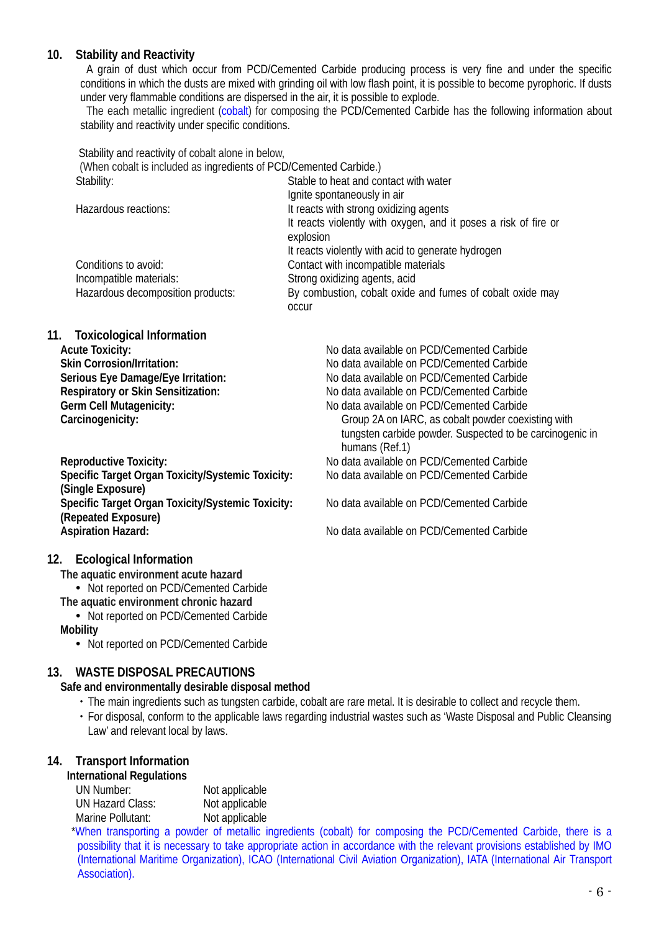## **10. Stability and Reactivity**

A grain of dust which occur from PCD/Cemented Carbide producing process is very fine and under the specific conditions in which the dusts are mixed with grinding oil with low flash point, it is possible to become pyrophoric. If dusts under very flammable conditions are dispersed in the air, it is possible to explode.

The each metallic ingredient (cobalt) for composing the PCD/Cemented Carbide has the following information about stability and reactivity under specific conditions.

Stability and reactivity of cobalt alone in below, (When cobalt is included as ingredients of PCD/Cemented Carbide.) Stability: Stable to heat and contact with water Ignite spontaneously in air Hazardous reactions: It reacts with strong oxidizing agents It reacts violently with oxygen, and it poses a risk of fire or explosion It reacts violently with acid to generate hydrogen Conditions to avoid: Contact with incompatible materials Incompatible materials:<br>
Hazardous decomposition products:<br>
By combustion, cobalt oxide By combustion, cobalt oxide and fumes of cobalt oxide may occur **11. Toxicological Information Acute Toxicity:**<br> **Acute Toxicity:** No data available on PCD/Cemented Carbide<br>
No data available on PCD/Cemented Carbide<br>
No data available on PCD/Cemented Carbide **Skin Corrosion/Irritation:** No data available on PCD/Cemented Carbide **Serious Eye Damage/Eye Irritation:** No data available on PCD/Cemented Carbide **Respiratory or Skin Sensitization:** <br> **No data available on PCD/Cemented Carbide Germ Cell Mutagenicity: No data available on PCD/Cemented Carbide Germ Cell Mutagenicity:**<br>
Carcinogenicity: **No data available on PCD/Cemented Carbide**<br>
Group 2A on IARC, as cobalt powder coex

Group 2A on IARC, as cobalt powder coexisting with tungsten carbide powder. Suspected to be carcinogenic in humans (Ref.1)

**Reproductive Toxicity:** No data available on PCD/Cemented Carbide Specific Target Organ Toxicity/Systemic Toxicity: **(Single Exposure) Specific Target Organ Toxicity/Systemic Toxicity:** No data available on PCD/Cemented Carbide **(Repeated Exposure) Aspiration Hazard:** No data available on PCD/Cemented Carbide

## **12. Ecological Information**

**The aquatic environment acute hazard**

- Not reported on PCD/Cemented Carbide
- **The aquatic environment chronic hazard**
- Not reported on PCD/Cemented Carbide

## **Mobility**

• Not reported on PCD/Cemented Carbide

## **13. WASTE DISPOSAL PRECAUTIONS**

## **Safe and environmentally desirable disposal method**

- ・The main ingredients such as tungsten carbide, cobalt are rare metal. It is desirable to collect and recycle them.
- ・For disposal, conform to the applicable laws regarding industrial wastes such as 'Waste Disposal and Public Cleansing Law' and relevant local by laws.

## **14. Transport Information**

## **International Regulations**

| UN Number:        | Not applicable |
|-------------------|----------------|
| UN Hazard Class:  | Not applicable |
| Marine Pollutant: | Not applicable |

 \*When transporting a powder of metallic ingredients (cobalt) for composing the PCD/Cemented Carbide, there is a possibility that it is necessary to take appropriate action in accordance with the relevant provisions established by IMO (International Maritime Organization), ICAO (International Civil Aviation Organization), IATA (International Air Transport Association).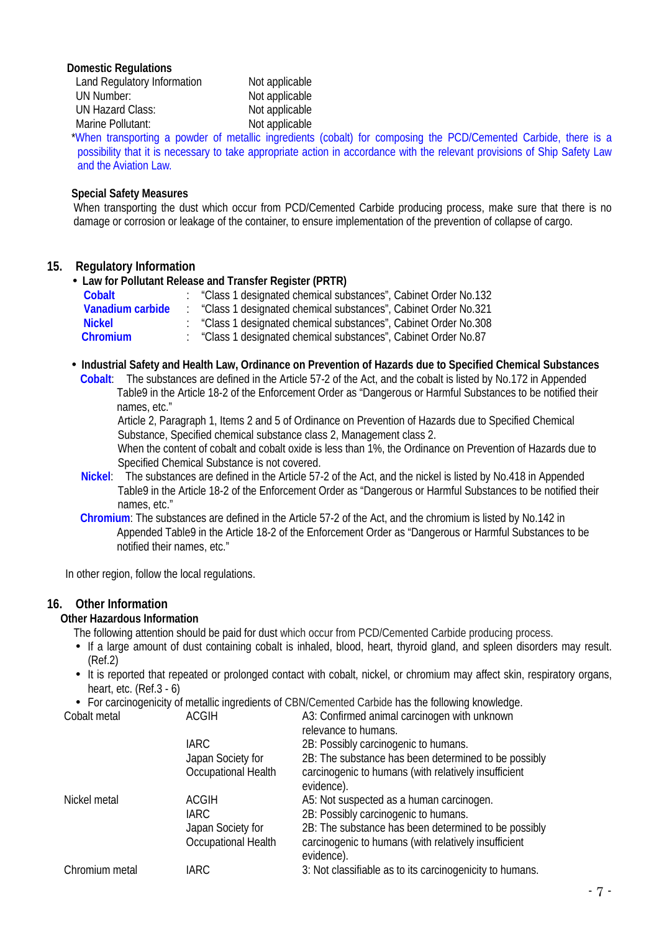#### **Domestic Regulations**

| Land Regulatory Information | Not applicable |
|-----------------------------|----------------|
| UN Number:                  | Not applicable |
| <b>UN Hazard Class:</b>     | Not applicable |
| Marine Pollutant:           | Not applicable |
| .                           | .              |

 \*When transporting a powder of metallic ingredients (cobalt) for composing the PCD/Cemented Carbide, there is a possibility that it is necessary to take appropriate action in accordance with the relevant provisions of Ship Safety Law and the Aviation Law.

#### **Special Safety Measures**

When transporting the dust which occur from PCD/Cemented Carbide producing process, make sure that there is no damage or corrosion or leakage of the container, to ensure implementation of the prevention of collapse of cargo.

## **15. Regulatory Information**

**Law for Pollutant Release and Transfer Register (PRTR)**

| Cobalt           | "Class 1 designated chemical substances", Cabinet Order No.132 |
|------------------|----------------------------------------------------------------|
| Vanadium carbide | "Class 1 designated chemical substances", Cabinet Order No.321 |
| <b>Nickel</b>    | "Class 1 designated chemical substances", Cabinet Order No.308 |
| <b>Chromium</b>  | "Class 1 designated chemical substances", Cabinet Order No.87  |

 **Industrial Safety and Health Law, Ordinance on Prevention of Hazards due to Specified Chemical Substances Cobalt**: The substances are defined in the Article 57-2 of the Act, and the cobalt is listed by No.172 in Appended Table9 in the Article 18-2 of the Enforcement Order as "Dangerous or Harmful Substances to be notified their names, etc."

Article 2, Paragraph 1, Items 2 and 5 of Ordinance on Prevention of Hazards due to Specified Chemical Substance, Specified chemical substance class 2, Management class 2.

When the content of cobalt and cobalt oxide is less than 1%, the Ordinance on Prevention of Hazards due to Specified Chemical Substance is not covered.

- **Nickel**: The substances are defined in the Article 57-2 of the Act, and the nickel is listed by No.418 in Appended Table9 in the Article 18-2 of the Enforcement Order as "Dangerous or Harmful Substances to be notified their names, etc."
- **Chromium**: The substances are defined in the Article 57-2 of the Act, and the chromium is listed by No.142 in Appended Table9 in the Article 18-2 of the Enforcement Order as "Dangerous or Harmful Substances to be notified their names, etc."

In other region, follow the local regulations.

## **16. Other Information**

## **Other Hazardous Information**

The following attention should be paid for dust which occur from PCD/Cemented Carbide producing process.

- If a large amount of dust containing cobalt is inhaled, blood, heart, thyroid gland, and spleen disorders may result. (Ref.2)
- It is reported that repeated or prolonged contact with cobalt, nickel, or chromium may affect skin, respiratory organs, heart, etc. (Ref.3 - 6)
- For carcinogenicity of metallic ingredients of CBN/Cemented Carbide has the following knowledge.

| Cobalt metal   | ACGIH                                    | A3: Confirmed animal carcinogen with unknown<br>relevance to humans.                                                       |
|----------------|------------------------------------------|----------------------------------------------------------------------------------------------------------------------------|
|                | <b>IARC</b>                              | 2B: Possibly carcinogenic to humans.                                                                                       |
|                | Japan Society for                        | 2B: The substance has been determined to be possibly                                                                       |
|                | Occupational Health                      | carcinogenic to humans (with relatively insufficient<br>evidence).                                                         |
| Nickel metal   | ACGIH                                    | A5: Not suspected as a human carcinogen.                                                                                   |
|                | IARC.                                    | 2B: Possibly carcinogenic to humans.                                                                                       |
|                | Japan Society for<br>Occupational Health | 2B: The substance has been determined to be possibly<br>carcinogenic to humans (with relatively insufficient<br>evidence). |
| Chromium metal | <b>IARC</b>                              | 3: Not classifiable as to its carcinogenicity to humans.                                                                   |